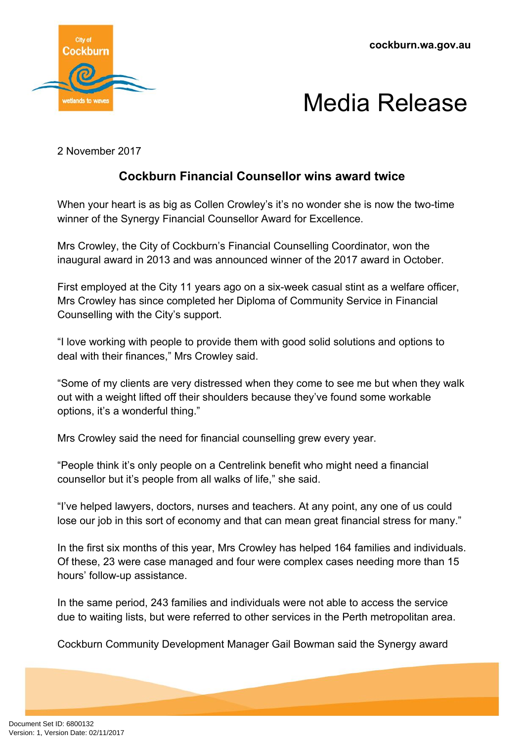**cockburn.wa.gov.au**





2 November 2017

## **Cockburn Financial Counsellor wins award twice**

When your heart is as big as Collen Crowley's it's no wonder she is now the two-time winner of the Synergy Financial Counsellor Award for Excellence.

Mrs Crowley, the City of Cockburn's Financial Counselling Coordinator, won the inaugural award in 2013 and was announced winner of the 2017 award in October.

First employed at the City 11 years ago on a six-week casual stint as a welfare officer, Mrs Crowley has since completed her Diploma of Community Service in Financial Counselling with the City's support.

"I love working with people to provide them with good solid solutions and options to deal with their finances," Mrs Crowley said.

"Some of my clients are very distressed when they come to see me but when they walk out with a weight lifted off their shoulders because they've found some workable options, it's a wonderful thing."

Mrs Crowley said the need for financial counselling grew every year.

"People think it's only people on a Centrelink benefit who might need a financial counsellor but it's people from all walks of life," she said.

"I've helped lawyers, doctors, nurses and teachers. At any point, any one of us could lose our job in this sort of economy and that can mean great financial stress for many."

In the first six months of this year, Mrs Crowley has helped 164 families and individuals. Of these, 23 were case managed and four were complex cases needing more than 15 hours' follow-up assistance.

In the same period, 243 families and individuals were not able to access the service due to waiting lists, but were referred to other services in the Perth metropolitan area.

Cockburn Community Development Manager Gail Bowman said the Synergy award